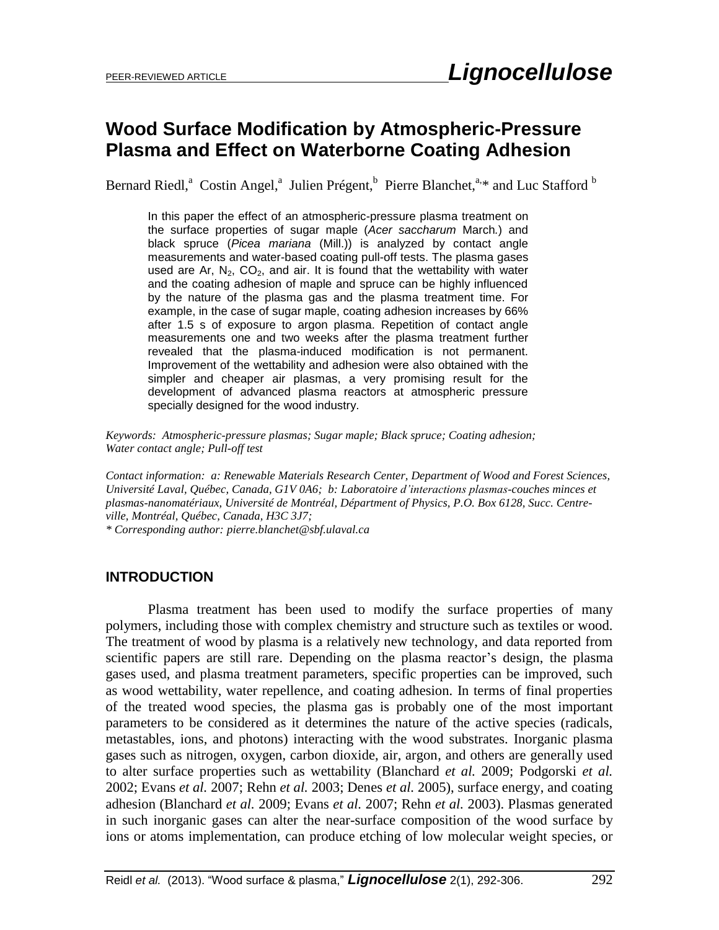### **Wood Surface Modification by Atmospheric-Pressure Plasma and Effect on Waterborne Coating Adhesion**

Bernard Riedl,<sup>a</sup> Costin Angel,<sup>a</sup> Julien Prégent,<sup>b</sup> Pierre Blanchet,<sup>a,\*</sup> and Luc Stafford<sup>b</sup>

In this paper the effect of an atmospheric-pressure plasma treatment on the surface properties of sugar maple (*Acer saccharum* March*.*) and black spruce (*Picea mariana* (Mill.)) is analyzed by contact angle measurements and water-based coating pull-off tests. The plasma gases used are Ar,  $N_2$ , CO<sub>2</sub>, and air. It is found that the wettability with water and the coating adhesion of maple and spruce can be highly influenced by the nature of the plasma gas and the plasma treatment time. For example, in the case of sugar maple, coating adhesion increases by 66% after 1.5 s of exposure to argon plasma. Repetition of contact angle measurements one and two weeks after the plasma treatment further revealed that the plasma-induced modification is not permanent. Improvement of the wettability and adhesion were also obtained with the simpler and cheaper air plasmas, a very promising result for the development of advanced plasma reactors at atmospheric pressure specially designed for the wood industry.

*Keywords: Atmospheric-pressure plasmas; Sugar maple; Black spruce; Coating adhesion; Water contact angle; Pull-off test*

*Contact information: a: Renewable Materials Research Center, Department of Wood and Forest Sciences, Université Laval, Québec, Canada, G1V 0A6; b: Laboratoire d'interactions plasmas-couches minces et plasmas-nanomatériaux, Université de Montréal, Départment of Physics, P.O. Box 6128, Succ. Centreville, Montréal, Québec, Canada, H3C 3J7; \* Corresponding author: pierre.blanchet@sbf.ulaval.ca*

### **INTRODUCTION**

Plasma treatment has been used to modify the surface properties of many polymers, including those with complex chemistry and structure such as textiles or wood. The treatment of wood by plasma is a relatively new technology, and data reported from scientific papers are still rare. Depending on the plasma reactor's design, the plasma gases used, and plasma treatment parameters, specific properties can be improved, such as wood wettability, water repellence, and coating adhesion. In terms of final properties of the treated wood species, the plasma gas is probably one of the most important parameters to be considered as it determines the nature of the active species (radicals, metastables, ions, and photons) interacting with the wood substrates. Inorganic plasma gases such as nitrogen, oxygen, carbon dioxide, air, argon, and others are generally used to alter surface properties such as wettability (Blanchard *et al.* 2009; Podgorski *et al.* 2002; Evans *et al.* 2007; Rehn *et al.* 2003; Denes *et al.* 2005), surface energy, and coating adhesion (Blanchard *et al.* 2009; Evans *et al.* 2007; Rehn *et al.* 2003). Plasmas generated in such inorganic gases can alter the near-surface composition of the wood surface by ions or atoms implementation, can produce etching of low molecular weight species, or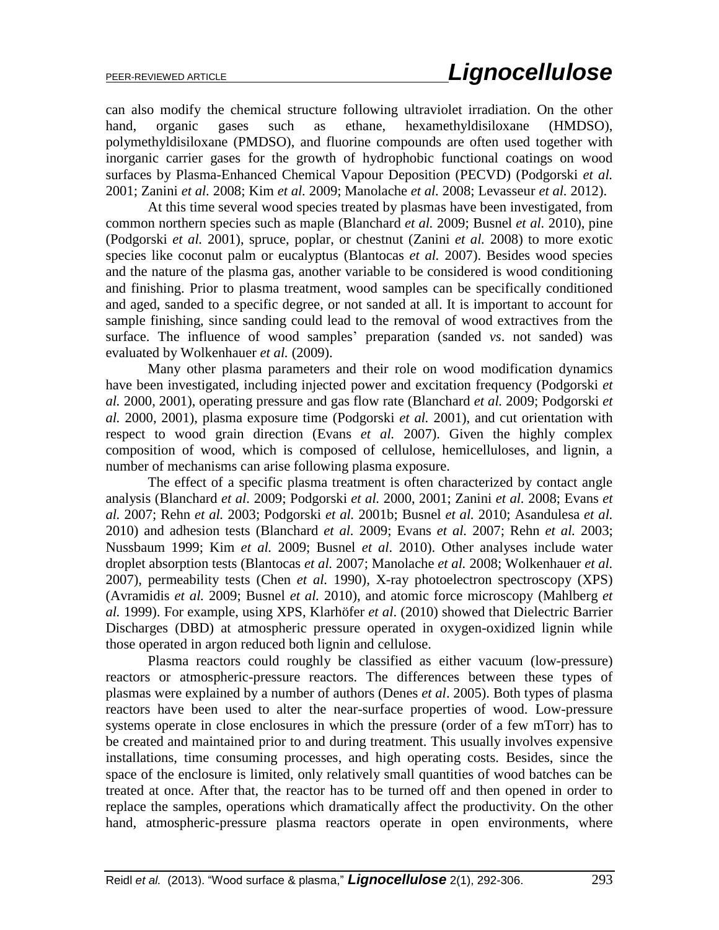can also modify the chemical structure following ultraviolet irradiation. On the other hand, organic gases such as ethane, hexamethyldisiloxane (HMDSO), polymethyldisiloxane (PMDSO), and fluorine compounds are often used together with inorganic carrier gases for the growth of hydrophobic functional coatings on wood surfaces by Plasma-Enhanced Chemical Vapour Deposition (PECVD) (Podgorski *et al.* 2001; Zanini *et al.* 2008; Kim *et al.* 2009; Manolache *et al.* 2008; Levasseur *et al.* 2012).

At this time several wood species treated by plasmas have been investigated, from common northern species such as maple (Blanchard *et al.* 2009; Busnel *et al.* 2010), pine (Podgorski *et al.* 2001), spruce, poplar, or chestnut (Zanini *et al.* 2008) to more exotic species like coconut palm or eucalyptus (Blantocas *et al.* 2007). Besides wood species and the nature of the plasma gas, another variable to be considered is wood conditioning and finishing. Prior to plasma treatment, wood samples can be specifically conditioned and aged, sanded to a specific degree, or not sanded at all. It is important to account for sample finishing, since sanding could lead to the removal of wood extractives from the surface. The influence of wood samples' preparation (sanded *vs*. not sanded) was evaluated by Wolkenhauer *et al.* (2009).

Many other plasma parameters and their role on wood modification dynamics have been investigated, including injected power and excitation frequency (Podgorski *et al.* 2000, 2001), operating pressure and gas flow rate (Blanchard *et al.* 2009; Podgorski *et al.* 2000, 2001), plasma exposure time (Podgorski *et al.* 2001), and cut orientation with respect to wood grain direction (Evans *et al.* 2007). Given the highly complex composition of wood, which is composed of cellulose, hemicelluloses, and lignin, a number of mechanisms can arise following plasma exposure.

The effect of a specific plasma treatment is often characterized by contact angle analysis (Blanchard *et al.* 2009; Podgorski *et al.* 2000, 2001; Zanini *et al.* 2008; Evans *et al.* 2007; Rehn *et al.* 2003; Podgorski *et al.* 2001b; Busnel *et al.* 2010; Asandulesa *et al.* 2010) and adhesion tests (Blanchard *et al.* 2009; Evans *et al.* 2007; Rehn *et al.* 2003; Nussbaum 1999; Kim *et al.* 2009; Busnel *et al.* 2010). Other analyses include water droplet absorption tests (Blantocas *et al.* 2007; Manolache *et al.* 2008; Wolkenhauer *et al.* 2007), permeability tests (Chen *et al.* 1990), X-ray photoelectron spectroscopy (XPS) (Avramidis *et al.* 2009; Busnel *et al.* 2010), and atomic force microscopy (Mahlberg *et al.* 1999). For example, using XPS, Klarhöfer *et al*. (2010) showed that Dielectric Barrier Discharges (DBD) at atmospheric pressure operated in oxygen-oxidized lignin while those operated in argon reduced both lignin and cellulose.

Plasma reactors could roughly be classified as either vacuum (low-pressure) reactors or atmospheric-pressure reactors. The differences between these types of plasmas were explained by a number of authors (Denes *et al*. 2005). Both types of plasma reactors have been used to alter the near-surface properties of wood. Low-pressure systems operate in close enclosures in which the pressure (order of a few mTorr) has to be created and maintained prior to and during treatment. This usually involves expensive installations, time consuming processes, and high operating costs. Besides, since the space of the enclosure is limited, only relatively small quantities of wood batches can be treated at once. After that, the reactor has to be turned off and then opened in order to replace the samples, operations which dramatically affect the productivity. On the other hand, atmospheric-pressure plasma reactors operate in open environments, where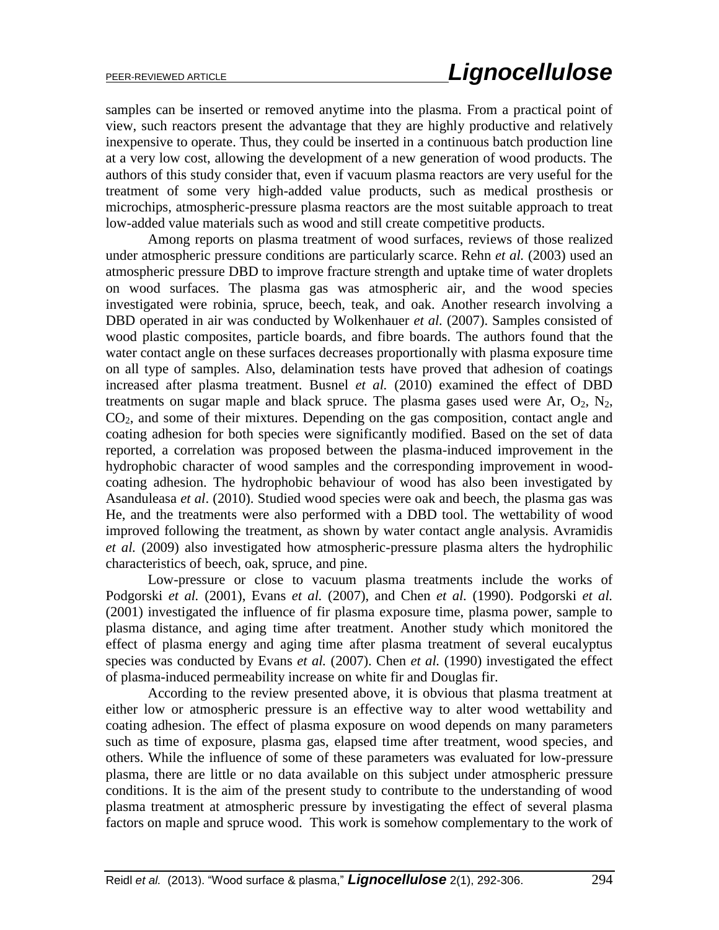samples can be inserted or removed anytime into the plasma. From a practical point of view, such reactors present the advantage that they are highly productive and relatively inexpensive to operate. Thus, they could be inserted in a continuous batch production line at a very low cost, allowing the development of a new generation of wood products. The authors of this study consider that, even if vacuum plasma reactors are very useful for the treatment of some very high-added value products, such as medical prosthesis or microchips, atmospheric-pressure plasma reactors are the most suitable approach to treat low-added value materials such as wood and still create competitive products.

Among reports on plasma treatment of wood surfaces, reviews of those realized under atmospheric pressure conditions are particularly scarce. Rehn *et al.* (2003) used an atmospheric pressure DBD to improve fracture strength and uptake time of water droplets on wood surfaces. The plasma gas was atmospheric air, and the wood species investigated were robinia, spruce, beech, teak, and oak. Another research involving a DBD operated in air was conducted by Wolkenhauer *et al.* (2007). Samples consisted of wood plastic composites, particle boards, and fibre boards. The authors found that the water contact angle on these surfaces decreases proportionally with plasma exposure time on all type of samples. Also, delamination tests have proved that adhesion of coatings increased after plasma treatment. Busnel *et al.* (2010) examined the effect of DBD treatments on sugar maple and black spruce. The plasma gases used were Ar,  $O_2$ ,  $N_2$ ,  $CO<sub>2</sub>$ , and some of their mixtures. Depending on the gas composition, contact angle and coating adhesion for both species were significantly modified. Based on the set of data reported, a correlation was proposed between the plasma-induced improvement in the hydrophobic character of wood samples and the corresponding improvement in woodcoating adhesion. The hydrophobic behaviour of wood has also been investigated by Asanduleasa *et al*. (2010). Studied wood species were oak and beech, the plasma gas was He, and the treatments were also performed with a DBD tool. The wettability of wood improved following the treatment, as shown by water contact angle analysis. Avramidis *et al.* (2009) also investigated how atmospheric-pressure plasma alters the hydrophilic characteristics of beech, oak, spruce, and pine.

Low-pressure or close to vacuum plasma treatments include the works of Podgorski *et al.* (2001), Evans *et al.* (2007), and Chen *et al.* (1990). Podgorski *et al.* (2001) investigated the influence of fir plasma exposure time, plasma power, sample to plasma distance, and aging time after treatment. Another study which monitored the effect of plasma energy and aging time after plasma treatment of several eucalyptus species was conducted by Evans *et al.* (2007). Chen *et al.* (1990) investigated the effect of plasma-induced permeability increase on white fir and Douglas fir.

According to the review presented above, it is obvious that plasma treatment at either low or atmospheric pressure is an effective way to alter wood wettability and coating adhesion. The effect of plasma exposure on wood depends on many parameters such as time of exposure, plasma gas, elapsed time after treatment, wood species, and others. While the influence of some of these parameters was evaluated for low-pressure plasma, there are little or no data available on this subject under atmospheric pressure conditions. It is the aim of the present study to contribute to the understanding of wood plasma treatment at atmospheric pressure by investigating the effect of several plasma factors on maple and spruce wood. This work is somehow complementary to the work of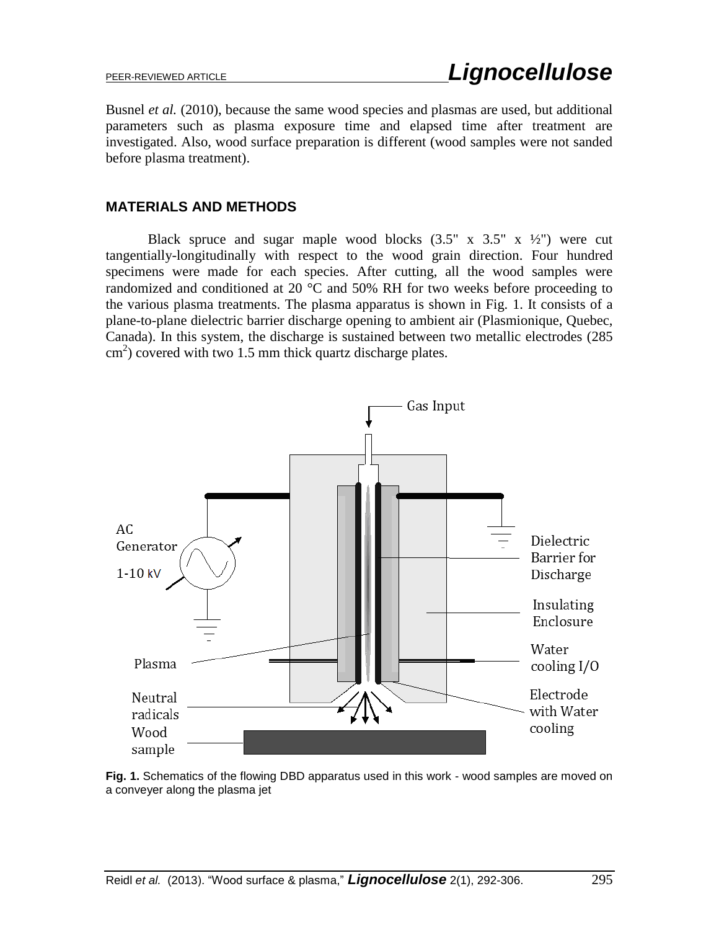Busnel *et al.* (2010), because the same wood species and plasmas are used, but additional parameters such as plasma exposure time and elapsed time after treatment are investigated. Also, wood surface preparation is different (wood samples were not sanded before plasma treatment).

### **MATERIALS AND METHODS**

Black spruce and sugar maple wood blocks  $(3.5" \times 3.5" \times \frac{1}{2})$  were cut tangentially-longitudinally with respect to the wood grain direction. Four hundred specimens were made for each species. After cutting, all the wood samples were randomized and conditioned at 20  $^{\circ}$ C and 50% RH for two weeks before proceeding to the various plasma treatments. The plasma apparatus is shown in Fig. 1. It consists of a plane-to-plane dielectric barrier discharge opening to ambient air (Plasmionique, Quebec, Canada). In this system, the discharge is sustained between two metallic electrodes (285 cm<sup>2</sup>) covered with two 1.5 mm thick quartz discharge plates.



**Fig. 1.** Schematics of the flowing DBD apparatus used in this work - wood samples are moved on a conveyer along the plasma jet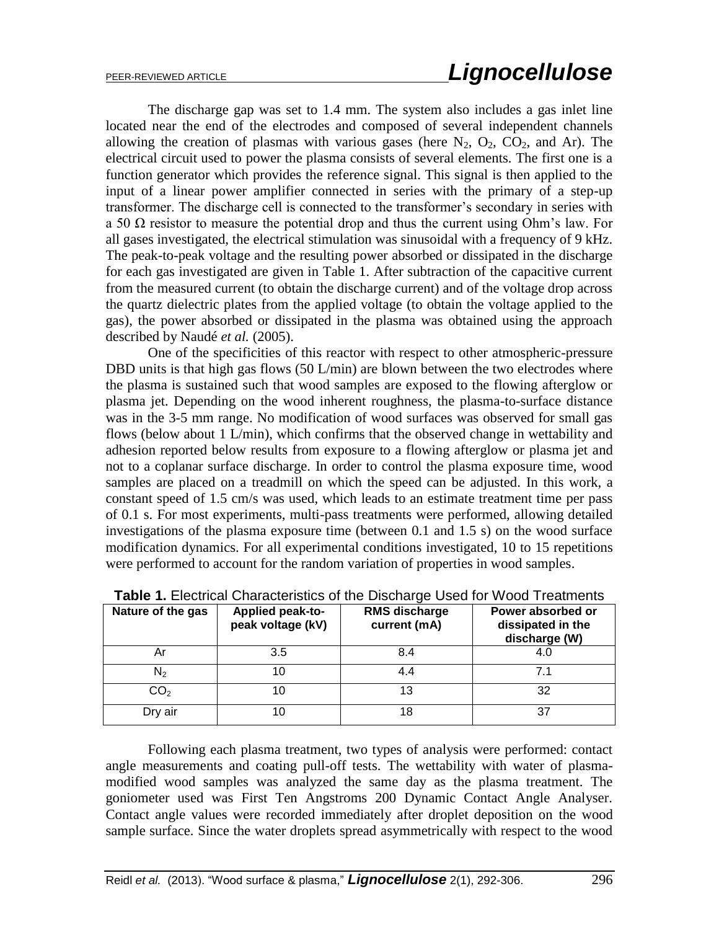The discharge gap was set to 1.4 mm. The system also includes a gas inlet line located near the end of the electrodes and composed of several independent channels allowing the creation of plasmas with various gases (here  $N_2$ ,  $O_2$ ,  $CO_2$ , and Ar). The electrical circuit used to power the plasma consists of several elements. The first one is a function generator which provides the reference signal. This signal is then applied to the input of a linear power amplifier connected in series with the primary of a step-up transformer. The discharge cell is connected to the transformer's secondary in series with a 50  $\Omega$  resistor to measure the potential drop and thus the current using Ohm's law. For all gases investigated, the electrical stimulation was sinusoidal with a frequency of 9 kHz. The peak-to-peak voltage and the resulting power absorbed or dissipated in the discharge for each gas investigated are given in Table 1. After subtraction of the capacitive current from the measured current (to obtain the discharge current) and of the voltage drop across the quartz dielectric plates from the applied voltage (to obtain the voltage applied to the gas), the power absorbed or dissipated in the plasma was obtained using the approach described by Naudé *et al.* (2005).

One of the specificities of this reactor with respect to other atmospheric-pressure DBD units is that high gas flows (50 L/min) are blown between the two electrodes where the plasma is sustained such that wood samples are exposed to the flowing afterglow or plasma jet. Depending on the wood inherent roughness, the plasma-to-surface distance was in the 3-5 mm range. No modification of wood surfaces was observed for small gas flows (below about 1 L/min), which confirms that the observed change in wettability and adhesion reported below results from exposure to a flowing afterglow or plasma jet and not to a coplanar surface discharge. In order to control the plasma exposure time, wood samples are placed on a treadmill on which the speed can be adjusted. In this work, a constant speed of 1.5 cm/s was used, which leads to an estimate treatment time per pass of 0.1 s. For most experiments, multi-pass treatments were performed, allowing detailed investigations of the plasma exposure time (between 0.1 and 1.5 s) on the wood surface modification dynamics. For all experimental conditions investigated, 10 to 15 repetitions were performed to account for the random variation of properties in wood samples.

| Nature of the gas | <b>Applied peak-to-</b><br>peak voltage (kV) | <b>RMS discharge</b><br>current (mA) | Power absorbed or<br>dissipated in the<br>discharge (W) |
|-------------------|----------------------------------------------|--------------------------------------|---------------------------------------------------------|
| Αr                | 3.5                                          | 8.4                                  | 4.C                                                     |
| $\mathsf{N}_2$    |                                              | 4.4                                  | 7.1                                                     |
| CO <sub>2</sub>   |                                              | 13                                   | 32                                                      |
| Dry air           | 10                                           | 18                                   | 37                                                      |

Following each plasma treatment, two types of analysis were performed: contact angle measurements and coating pull-off tests. The wettability with water of plasmamodified wood samples was analyzed the same day as the plasma treatment. The goniometer used was First Ten Angstroms 200 Dynamic Contact Angle Analyser. Contact angle values were recorded immediately after droplet deposition on the wood sample surface. Since the water droplets spread asymmetrically with respect to the wood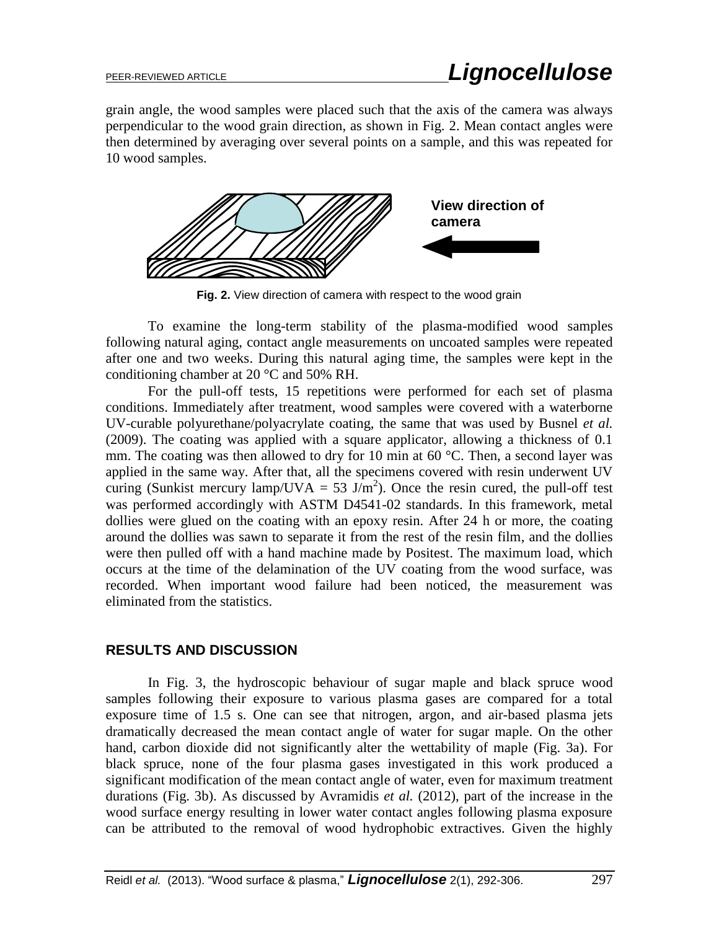grain angle, the wood samples were placed such that the axis of the camera was always perpendicular to the wood grain direction, as shown in Fig. 2. Mean contact angles were then determined by averaging over several points on a sample, and this was repeated for 10 wood samples.



**Fig. 2.** View direction of camera with respect to the wood grain

To examine the long-term stability of the plasma-modified wood samples following natural aging, contact angle measurements on uncoated samples were repeated after one and two weeks. During this natural aging time, the samples were kept in the conditioning chamber at 20 °C and 50% RH.

For the pull-off tests, 15 repetitions were performed for each set of plasma conditions. Immediately after treatment, wood samples were covered with a waterborne UV-curable polyurethane/polyacrylate coating, the same that was used by Busnel *et al.* (2009). The coating was applied with a square applicator, allowing a thickness of 0.1 mm. The coating was then allowed to dry for 10 min at 60  $^{\circ}$ C. Then, a second layer was applied in the same way. After that, all the specimens covered with resin underwent UV curing (Sunkist mercury lamp/UVA = 53  $J/m<sup>2</sup>$ ). Once the resin cured, the pull-off test was performed accordingly with ASTM D4541-02 standards. In this framework, metal dollies were glued on the coating with an epoxy resin. After 24 h or more, the coating around the dollies was sawn to separate it from the rest of the resin film, and the dollies were then pulled off with a hand machine made by Positest. The maximum load, which occurs at the time of the delamination of the UV coating from the wood surface, was recorded. When important wood failure had been noticed, the measurement was eliminated from the statistics.

### **RESULTS AND DISCUSSION**

In Fig. 3, the hydroscopic behaviour of sugar maple and black spruce wood samples following their exposure to various plasma gases are compared for a total exposure time of 1.5 s. One can see that nitrogen, argon, and air-based plasma jets dramatically decreased the mean contact angle of water for sugar maple. On the other hand, carbon dioxide did not significantly alter the wettability of maple (Fig. 3a). For black spruce, none of the four plasma gases investigated in this work produced a significant modification of the mean contact angle of water, even for maximum treatment durations (Fig. 3b). As discussed by Avramidis *et al.* (2012), part of the increase in the wood surface energy resulting in lower water contact angles following plasma exposure can be attributed to the removal of wood hydrophobic extractives. Given the highly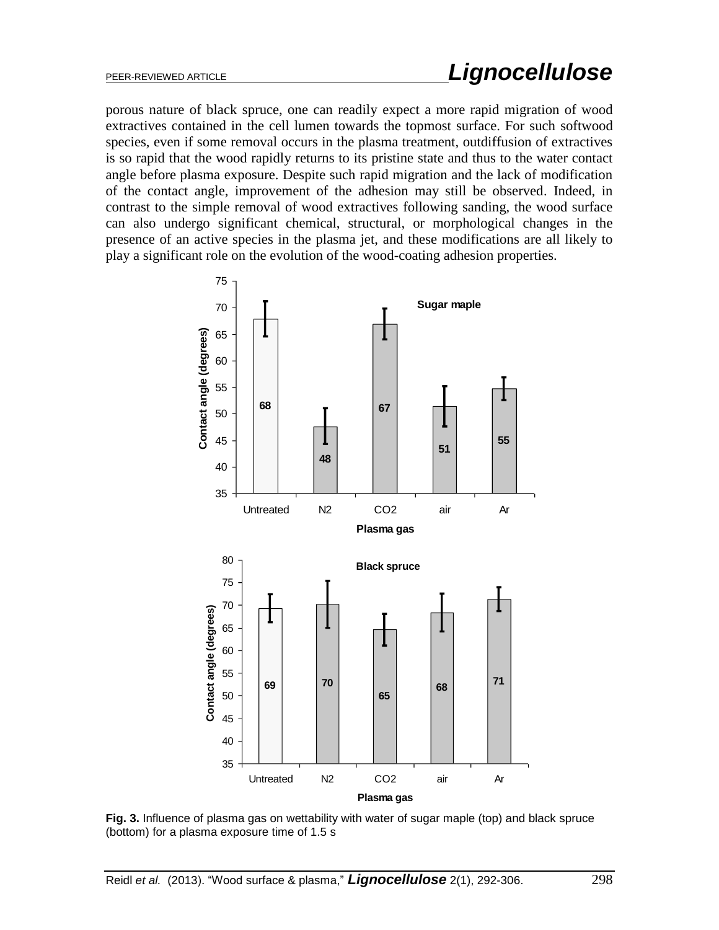porous nature of black spruce, one can readily expect a more rapid migration of wood extractives contained in the cell lumen towards the topmost surface. For such softwood species, even if some removal occurs in the plasma treatment, outdiffusion of extractives is so rapid that the wood rapidly returns to its pristine state and thus to the water contact angle before plasma exposure. Despite such rapid migration and the lack of modification of the contact angle, improvement of the adhesion may still be observed. Indeed, in contrast to the simple removal of wood extractives following sanding, the wood surface can also undergo significant chemical, structural, or morphological changes in the presence of an active species in the plasma jet, and these modifications are all likely to play a significant role on the evolution of the wood-coating adhesion properties.



**Fig. 3.** Influence of plasma gas on wettability with water of sugar maple (top) and black spruce (bottom) for a plasma exposure time of 1.5 s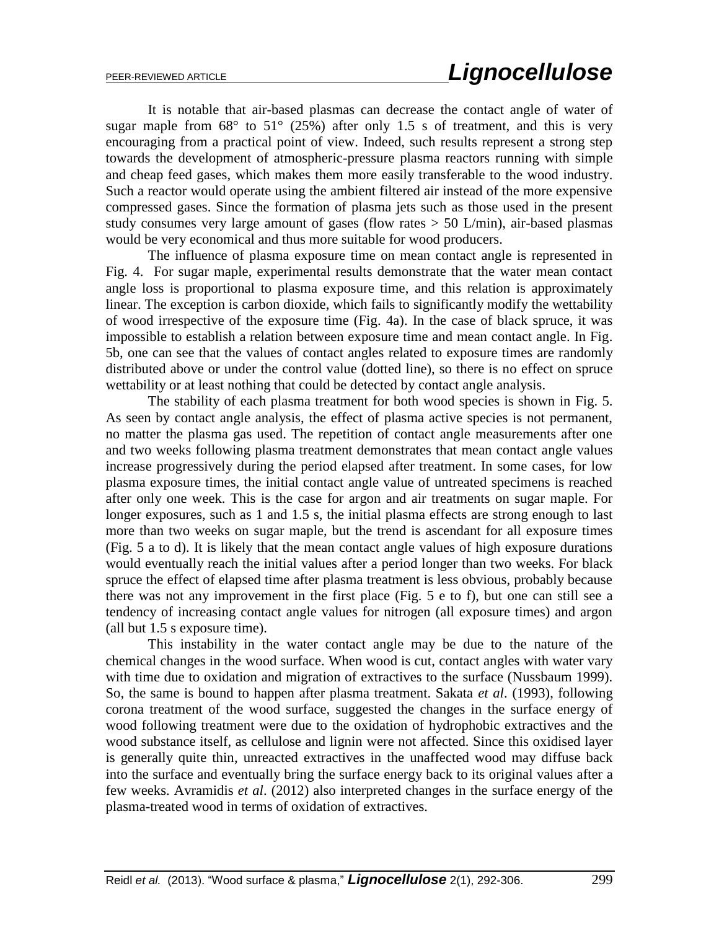It is notable that air-based plasmas can decrease the contact angle of water of sugar maple from  $68^{\circ}$  to  $51^{\circ}$  (25%) after only 1.5 s of treatment, and this is very encouraging from a practical point of view. Indeed, such results represent a strong step towards the development of atmospheric-pressure plasma reactors running with simple and cheap feed gases, which makes them more easily transferable to the wood industry. Such a reactor would operate using the ambient filtered air instead of the more expensive compressed gases. Since the formation of plasma jets such as those used in the present study consumes very large amount of gases (flow rates  $> 50$  L/min), air-based plasmas would be very economical and thus more suitable for wood producers.

The influence of plasma exposure time on mean contact angle is represented in Fig. 4. For sugar maple, experimental results demonstrate that the water mean contact angle loss is proportional to plasma exposure time, and this relation is approximately linear. The exception is carbon dioxide, which fails to significantly modify the wettability of wood irrespective of the exposure time (Fig. 4a). In the case of black spruce, it was impossible to establish a relation between exposure time and mean contact angle. In Fig. 5b, one can see that the values of contact angles related to exposure times are randomly distributed above or under the control value (dotted line), so there is no effect on spruce wettability or at least nothing that could be detected by contact angle analysis.

The stability of each plasma treatment for both wood species is shown in Fig. 5. As seen by contact angle analysis, the effect of plasma active species is not permanent, no matter the plasma gas used. The repetition of contact angle measurements after one and two weeks following plasma treatment demonstrates that mean contact angle values increase progressively during the period elapsed after treatment. In some cases, for low plasma exposure times, the initial contact angle value of untreated specimens is reached after only one week. This is the case for argon and air treatments on sugar maple. For longer exposures, such as 1 and 1.5 s, the initial plasma effects are strong enough to last more than two weeks on sugar maple, but the trend is ascendant for all exposure times (Fig. 5 a to d). It is likely that the mean contact angle values of high exposure durations would eventually reach the initial values after a period longer than two weeks. For black spruce the effect of elapsed time after plasma treatment is less obvious, probably because there was not any improvement in the first place (Fig. 5 e to f), but one can still see a tendency of increasing contact angle values for nitrogen (all exposure times) and argon (all but 1.5 s exposure time).

This instability in the water contact angle may be due to the nature of the chemical changes in the wood surface. When wood is cut, contact angles with water vary with time due to oxidation and migration of extractives to the surface (Nussbaum 1999). So, the same is bound to happen after plasma treatment. Sakata *et al*. (1993), following corona treatment of the wood surface, suggested the changes in the surface energy of wood following treatment were due to the oxidation of hydrophobic extractives and the wood substance itself, as cellulose and lignin were not affected. Since this oxidised layer is generally quite thin, unreacted extractives in the unaffected wood may diffuse back into the surface and eventually bring the surface energy back to its original values after a few weeks. Avramidis *et al*. (2012) also interpreted changes in the surface energy of the plasma-treated wood in terms of oxidation of extractives.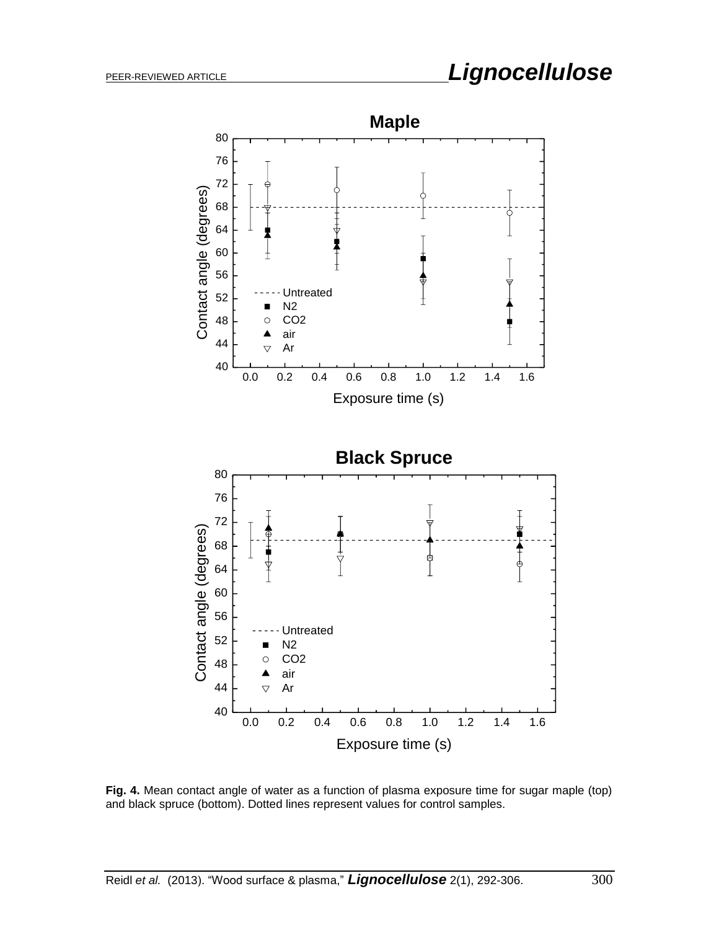

**Fig. 4.** Mean contact angle of water as a function of plasma exposure time for sugar maple (top) and black spruce (bottom). Dotted lines represent values for control samples.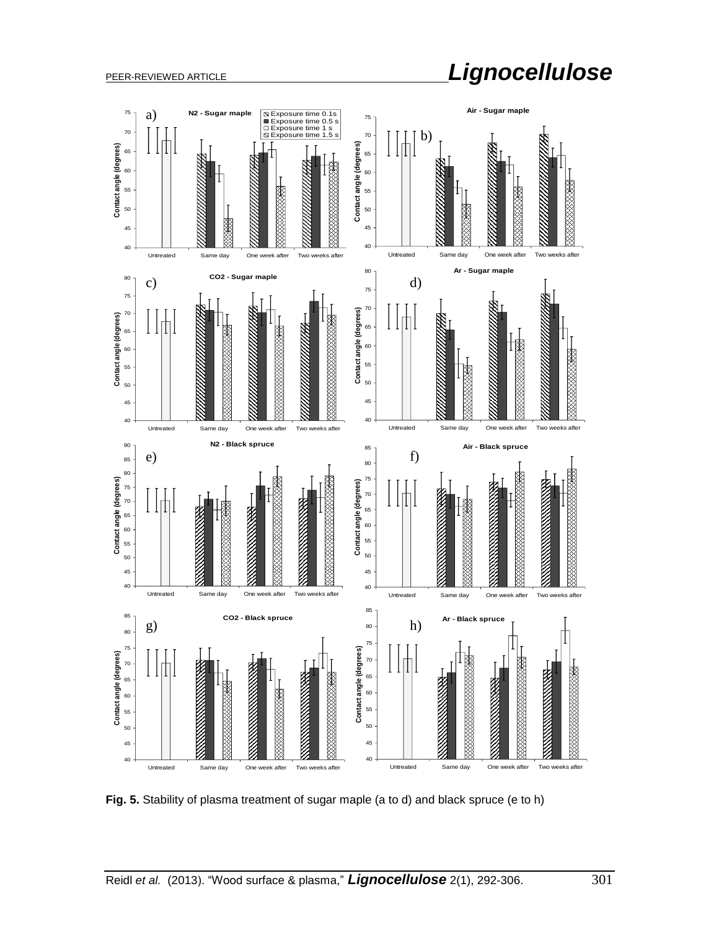# PEER-REVIEWED ARTICLE *Lignocellulose*



**Fig. 5.** Stability of plasma treatment of sugar maple (a to d) and black spruce (e to h)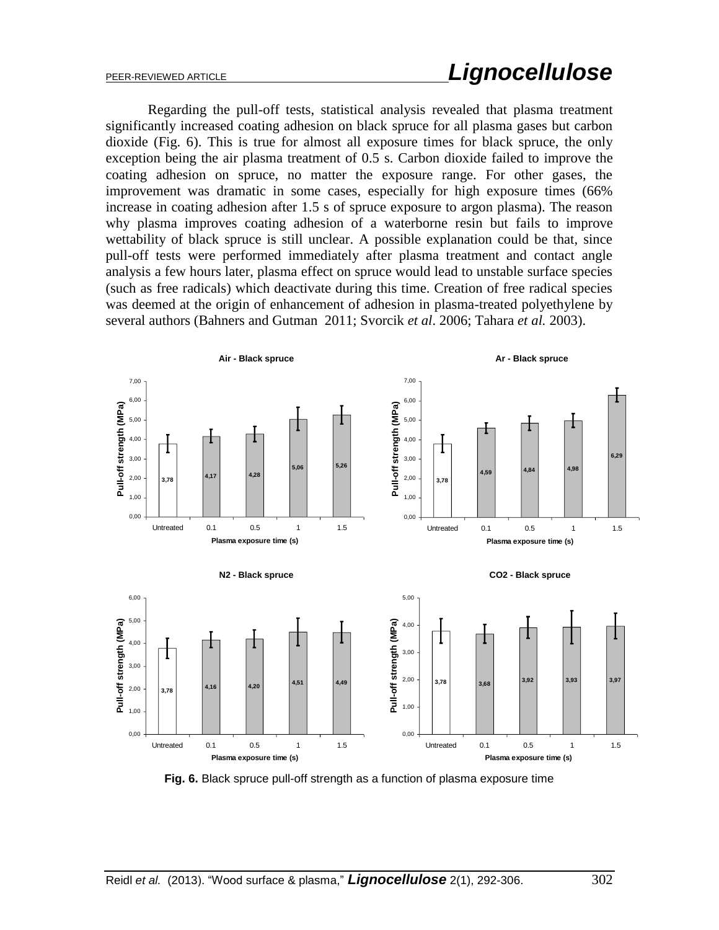Regarding the pull-off tests, statistical analysis revealed that plasma treatment significantly increased coating adhesion on black spruce for all plasma gases but carbon dioxide (Fig. 6). This is true for almost all exposure times for black spruce, the only exception being the air plasma treatment of 0.5 s. Carbon dioxide failed to improve the coating adhesion on spruce, no matter the exposure range. For other gases, the improvement was dramatic in some cases, especially for high exposure times (66% increase in coating adhesion after 1.5 s of spruce exposure to argon plasma). The reason why plasma improves coating adhesion of a waterborne resin but fails to improve wettability of black spruce is still unclear. A possible explanation could be that, since pull-off tests were performed immediately after plasma treatment and contact angle analysis a few hours later, plasma effect on spruce would lead to unstable surface species (such as free radicals) which deactivate during this time. Creation of free radical species was deemed at the origin of enhancement of adhesion in plasma-treated polyethylene by several authors (Bahners and Gutman 2011; Svorcik *et al*. 2006; Tahara *et al.* 2003).



**Fig. 6.** Black spruce pull-off strength as a function of plasma exposure time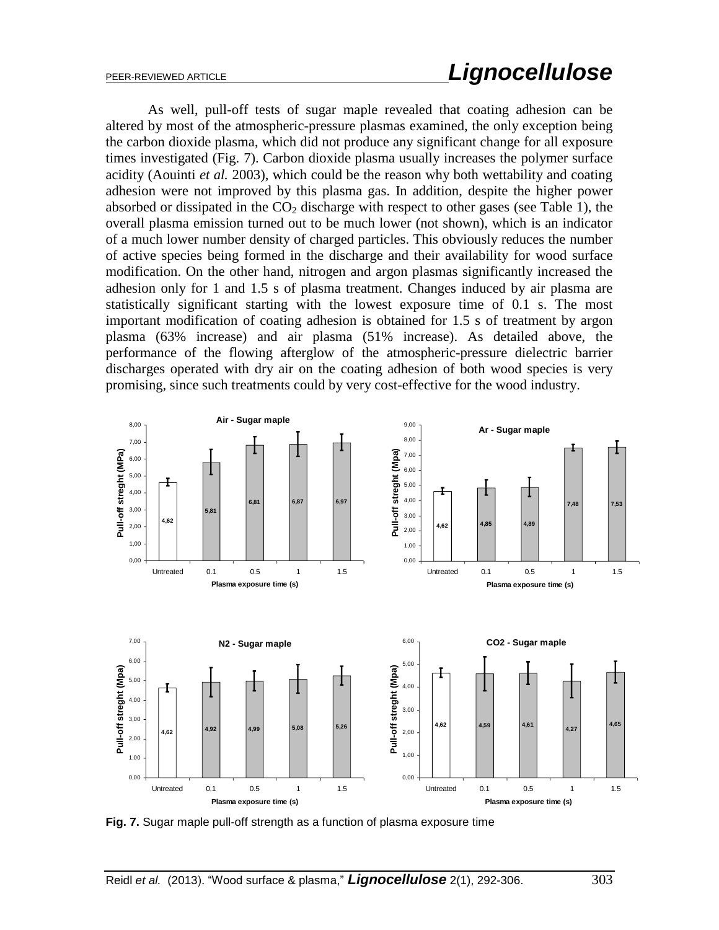## PEER-REVIEWED ARTICLE *Lignocellulose*

As well, pull-off tests of sugar maple revealed that coating adhesion can be altered by most of the atmospheric-pressure plasmas examined, the only exception being the carbon dioxide plasma, which did not produce any significant change for all exposure times investigated (Fig. 7). Carbon dioxide plasma usually increases the polymer surface acidity (Aouinti *et al.* 2003), which could be the reason why both wettability and coating adhesion were not improved by this plasma gas. In addition, despite the higher power absorbed or dissipated in the  $CO<sub>2</sub>$  discharge with respect to other gases (see Table 1), the overall plasma emission turned out to be much lower (not shown), which is an indicator of a much lower number density of charged particles. This obviously reduces the number of active species being formed in the discharge and their availability for wood surface modification. On the other hand, nitrogen and argon plasmas significantly increased the adhesion only for 1 and 1.5 s of plasma treatment. Changes induced by air plasma are statistically significant starting with the lowest exposure time of 0.1 s. The most important modification of coating adhesion is obtained for 1.5 s of treatment by argon plasma (63% increase) and air plasma (51% increase). As detailed above, the performance of the flowing afterglow of the atmospheric-pressure dielectric barrier discharges operated with dry air on the coating adhesion of both wood species is very promising, since such treatments could by very cost-effective for the wood industry.



**Fig. 7.** Sugar maple pull-off strength as a function of plasma exposure time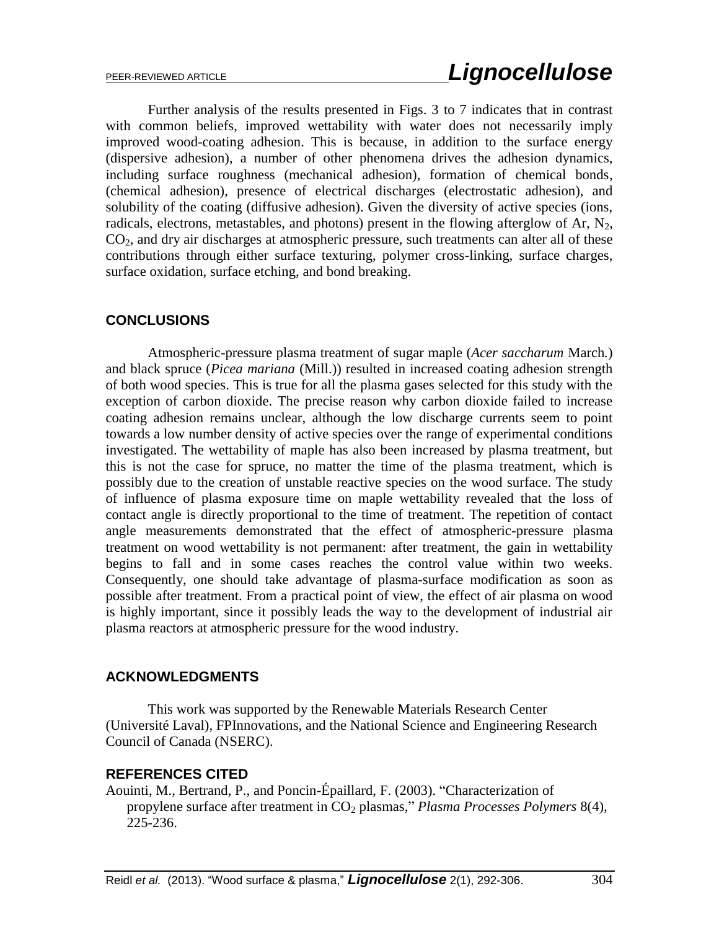Further analysis of the results presented in Figs. 3 to 7 indicates that in contrast with common beliefs, improved wettability with water does not necessarily imply improved wood-coating adhesion. This is because, in addition to the surface energy (dispersive adhesion), a number of other phenomena drives the adhesion dynamics, including surface roughness (mechanical adhesion), formation of chemical bonds, (chemical adhesion), presence of electrical discharges (electrostatic adhesion), and solubility of the coating (diffusive adhesion). Given the diversity of active species (ions, radicals, electrons, metastables, and photons) present in the flowing afterglow of Ar,  $N_2$ ,  $CO<sub>2</sub>$ , and dry air discharges at atmospheric pressure, such treatments can alter all of these contributions through either surface texturing, polymer cross-linking, surface charges, surface oxidation, surface etching, and bond breaking.

### **CONCLUSIONS**

Atmospheric-pressure plasma treatment of sugar maple (*Acer saccharum* March*.*) and black spruce (*Picea mariana* (Mill.)) resulted in increased coating adhesion strength of both wood species. This is true for all the plasma gases selected for this study with the exception of carbon dioxide. The precise reason why carbon dioxide failed to increase coating adhesion remains unclear, although the low discharge currents seem to point towards a low number density of active species over the range of experimental conditions investigated. The wettability of maple has also been increased by plasma treatment, but this is not the case for spruce, no matter the time of the plasma treatment, which is possibly due to the creation of unstable reactive species on the wood surface. The study of influence of plasma exposure time on maple wettability revealed that the loss of contact angle is directly proportional to the time of treatment. The repetition of contact angle measurements demonstrated that the effect of atmospheric-pressure plasma treatment on wood wettability is not permanent: after treatment, the gain in wettability begins to fall and in some cases reaches the control value within two weeks. Consequently, one should take advantage of plasma-surface modification as soon as possible after treatment. From a practical point of view, the effect of air plasma on wood is highly important, since it possibly leads the way to the development of industrial air plasma reactors at atmospheric pressure for the wood industry.

### **ACKNOWLEDGMENTS**

This work was supported by the Renewable Materials Research Center (Université Laval), FPInnovations, and the National Science and Engineering Research Council of Canada (NSERC).

#### **REFERENCES CITED**

Aouinti, M., Bertrand, P., and Poncin-Épaillard, F. (2003). "Characterization of propylene surface after treatment in CO<sup>2</sup> plasmas," *Plasma Processes Polymers* 8(4), 225-236.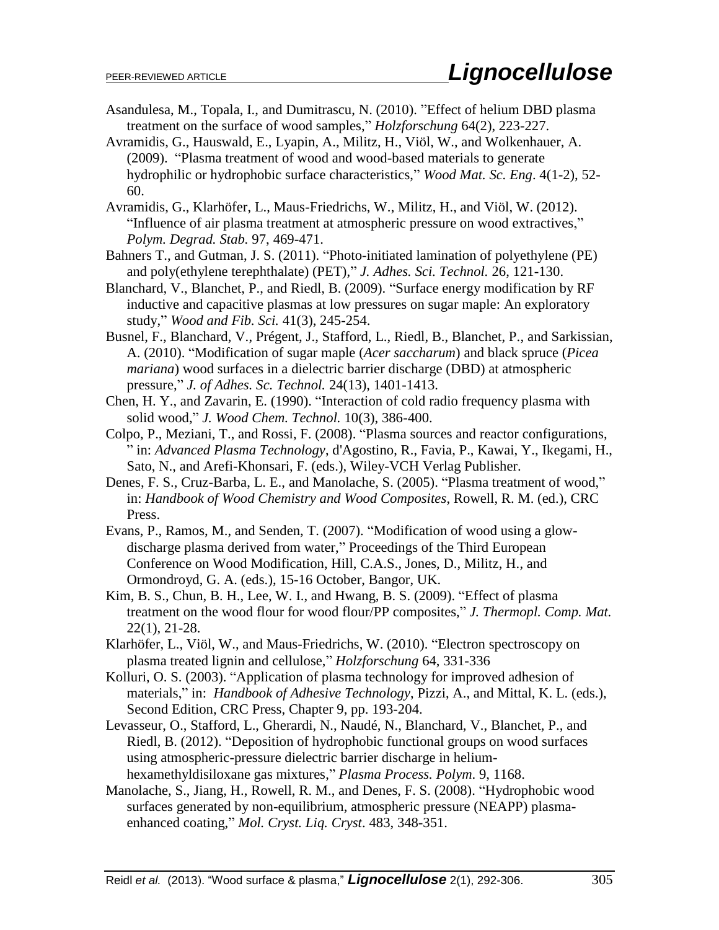- Asandulesa, M., Topala, I., and Dumitrascu, N. (2010). "Effect of helium DBD plasma treatment on the surface of wood samples," *Holzforschung* 64(2), 223-227.
- Avramidis, G., Hauswald, E., Lyapin, A., Militz, H., Viöl, W., and Wolkenhauer, A. (2009). "Plasma treatment of wood and wood-based materials to generate hydrophilic or hydrophobic surface characteristics," *Wood Mat. Sc. Eng*. 4(1-2), 52- 60.
- Avramidis, G., Klarhöfer, L., Maus-Friedrichs, W., Militz, H., and Viöl, W. (2012). "Influence of air plasma treatment at atmospheric pressure on wood extractives," *Polym. Degrad. Stab.* 97, 469-471.
- Bahners T., and Gutman, J. S. (2011). "Photo-initiated lamination of polyethylene (PE) and poly(ethylene terephthalate) (PET)," *J. Adhes. Sci. Technol.* 26, 121-130.
- Blanchard, V., Blanchet, P., and Riedl, B. (2009). "Surface energy modification by RF inductive and capacitive plasmas at low pressures on sugar maple: An exploratory study," *Wood and Fib. Sci.* 41(3), 245-254.
- Busnel, F., Blanchard, V., Prégent, J., Stafford, L., Riedl, B., Blanchet, P., and Sarkissian, A. (2010). "Modification of sugar maple (*Acer saccharum*) and black spruce (*Picea mariana*) wood surfaces in a dielectric barrier discharge (DBD) at atmospheric pressure," *J. of Adhes. Sc. Technol.* 24(13), 1401-1413.
- Chen, H. Y., and Zavarin, E. (1990). "Interaction of cold radio frequency plasma with solid wood," *J. Wood Chem. Technol.* 10(3), 386-400.
- Colpo, P., Meziani, T., and Rossi, F. (2008). "Plasma sources and reactor configurations, " in: *Advanced Plasma Technology*, d'Agostino, R., Favia, P., Kawai, Y., Ikegami, H., Sato, N., and Arefi-Khonsari, F. (eds.), Wiley-VCH Verlag Publisher.
- Denes, F. S., Cruz-Barba, L. E., and Manolache, S. (2005). "Plasma treatment of wood," in: *Handbook of Wood Chemistry and Wood Composites*, Rowell, R. M. (ed.), CRC Press.
- Evans, P., Ramos, M., and Senden, T. (2007). "Modification of wood using a glowdischarge plasma derived from water," Proceedings of the Third European Conference on Wood Modification, Hill, C.A.S., Jones, D., Militz, H., and Ormondroyd, G. A. (eds.), 15-16 October, Bangor, UK.
- Kim, B. S., Chun, B. H., Lee, W. I., and Hwang, B. S. (2009). "Effect of plasma treatment on the wood flour for wood flour/PP composites," *J. Thermopl. Comp. Mat.* 22(1), 21-28.
- Klarhöfer, L., Viöl, W., and Maus-Friedrichs, W. (2010). "Electron spectroscopy on plasma treated lignin and cellulose," *Holzforschung* 64, 331-336
- Kolluri, O. S. (2003). "Application of plasma technology for improved adhesion of materials," in: *Handbook of Adhesive Technology*, Pizzi, A., and Mittal, K. L. (eds.), Second Edition, CRC Press, Chapter 9, pp. 193-204.
- Levasseur, O., Stafford, L., Gherardi, N., Naudé, N., Blanchard, V., Blanchet, P., and Riedl, B. (2012). "Deposition of hydrophobic functional groups on wood surfaces using atmospheric-pressure dielectric barrier discharge in heliumhexamethyldisiloxane gas mixtures," *Plasma Process. Polym*. 9, 1168.
- Manolache, S., Jiang, H., Rowell, R. M., and Denes, F. S. (2008). "Hydrophobic wood surfaces generated by non-equilibrium, atmospheric pressure (NEAPP) plasmaenhanced coating," *Mol. Cryst. Liq. Cryst*. 483, 348-351.